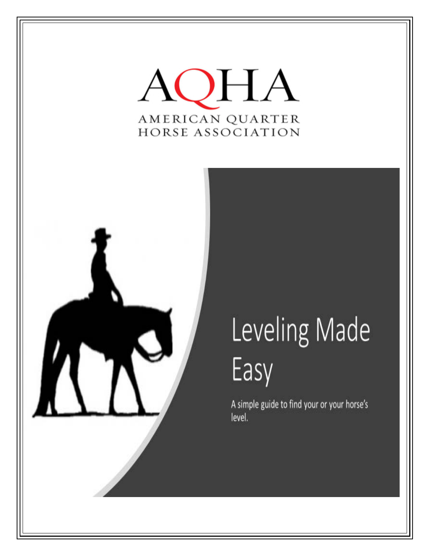



# Leveling Made Easy

A simple guide to find your or your horse's level.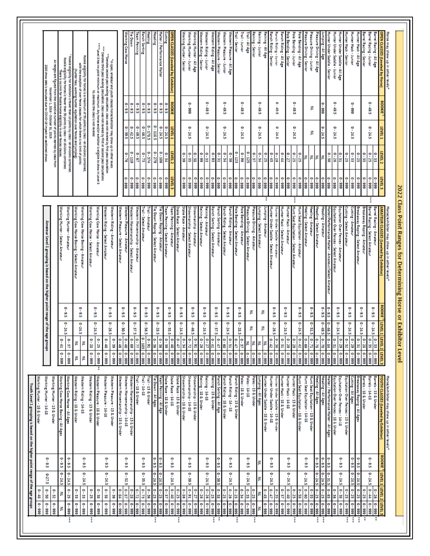| $0 - 50$<br>$0 - 33$<br>$0 - 25$<br>$0 - 32$<br>$0 - 33$<br>$0 - 48$<br>š<br>$666 - 0$<br>$666 - 0$<br>666-0<br>$666 - 0$<br>$666 - 0$<br>$666 - 0$<br>P | 6-27.5     | $0 - 9.5$                   | Vorking Hunter - 18 & Under                                                   |                        |                           |                |                            |                                                                                 |                                 |                        |                           |                                      |                                                                                                                                                                                                                                                  |
|----------------------------------------------------------------------------------------------------------------------------------------------------------|------------|-----------------------------|-------------------------------------------------------------------------------|------------------------|---------------------------|----------------|----------------------------|---------------------------------------------------------------------------------|---------------------------------|------------------------|---------------------------|--------------------------------------|--------------------------------------------------------------------------------------------------------------------------------------------------------------------------------------------------------------------------------------------------|
|                                                                                                                                                          |            |                             |                                                                               |                        |                           |                |                            |                                                                                 |                                 |                        |                           |                                      |                                                                                                                                                                                                                                                  |
|                                                                                                                                                          |            |                             | Working Hunter - 14-18<br>Working Hunter - 13 & Under                         |                        | ÷                         |                |                            | Amateur Level 1 grouping is based on the higher point range of the age gro      |                                 |                        |                           | November 1, 2016 - October 31, 2019. | All ranges are figured from the collective number of points earned by class from<br>2020 show data is excluded due to COVID-19 impact on sactioned show                                                                                          |
|                                                                                                                                                          | $0 - 24.5$ | $0 - 9.5$                   | Working Cow Horse Boxing - All Ages                                           | $666 - 0$              | ę<br>â                    |                |                            | Norking Hunter - Select Amateur                                                 |                                 |                        |                           |                                      | Rookie eligibility for horses is fewer than 50 points by class - all divisions combined<br>There is no limit for Rookie horse eligibility in over fences classes.                                                                                |
|                                                                                                                                                          | $0 - 24.5$ | $0 - 9.5$                   | Working Cow Horse - All Ages                                                  | $666 - 0$              | ę<br>ч                    | $0 - 24.5$     | $0 - 9.5$                  | Working Hunter - Amateur                                                        |                                 |                        |                           |                                      | Rookie eligibility for exhibitors is rewer than 10 points by class - all divisions combines                                                                                                                                                      |
|                                                                                                                                                          | $0 - 24.5$ | $0 - 9.5$                   | Western Riding - 14-18<br>Western Riding - 18 & Under                         | P<br>P                 |                           | 0-24.5         | $0 - 9.5$                  | Working Cow Horse Boxing - Amateur<br>Working Cow Horse Boxing - Select Amateur |                                 |                        |                           |                                      | Rookie eligibility for horses is a maximum of 30 points by class - all divisions combined<br>with the exception of over fence classes for which there is no limit of points<br>(hunter hack, working hunter, equitation over fences and jumping) |
| $0 - 25$<br>$0 - 38$<br>$0 - 999$<br>$6 - 999$                                                                                                           |            |                             | Western Riding - 13 & Under<br>Nestern Pleasure - 18 & Under                  | $666 - 0$<br>$666 - 0$ | ę<br>۴<br>s<br>u          | $0 - 24.5$     | $0 - 9.5$                  | Working Cow Horse - Amateur<br>Working Cow Horse - Select Amateur               |                                 |                        |                           | NL denotes the class is not leveled  | """Level 3 has no point minimum or maximum. Any horse and/or exhibitor is eligible to show in Level 3                                                                                                                                            |
| $0 - 38$<br>$6 - 999$                                                                                                                                    | $0 - 24.5$ | $0 - 9.5$                   | Western Pleasure - 14-18                                                      | $666 - 0$              | ę<br>8                    |                |                            | Western Riding - Select Amateur                                                 |                                 |                        |                           |                                      | "" Denotes third pass leveling calculation; class was not leveled by first or second pass calculations<br>" Denotes second pass leveling calculation; class was not leveled by first pass calculation                                            |
| $0 - 36$<br>666 - 0                                                                                                                                      |            |                             | Western Pleasure - 13 & Under                                                 | $666 - 0$              | ę<br>ŏ                    | $0 - 26.5$     | $0 - 9.5$                  | Western Riding - Amateur                                                        |                                 |                        |                           |                                      | "In open, amateur and youth dasses horse/euhibitor may show up in other levels                                                                                                                                                                   |
| $0 - 84$<br>$0 - 999$                                                                                                                                    |            |                             | Western Horsemanship - 18 & Under                                             | $0 - 999$              | ę<br>â,                   | $0 - 30.5$     | $0 - 9.5$                  | Western Pleasure - Select Amateu                                                |                                 |                        |                           |                                      |                                                                                                                                                                                                                                                  |
| $0 - 87$<br>$0 - 28$<br>666 - 0                                                                                                                          | $0 - 32.5$ | $0 - 9.5$                   | Western Horsemanship - 14-18<br>Western Horsemanship - 13 & Under             | $666 - 0$<br>$666 - 0$ | ۴<br>s<br>s               |                |                            | Western Horsemanship - Select Amateur<br>Western Pleasure -                     | 666 - 0<br>0 - 999              | $0 - 1119$<br>$0 - 76$ | $0 - 42.5$<br>$0 - 39.5$  | $0 - 9.5$<br>$0 - 9.5$               | Working Cow Horse<br><b>Fie Down</b>                                                                                                                                                                                                             |
| $0 - 72$<br>666-0<br>666-0                                                                                                                               |            |                             | <b>Irail - 18 &amp; Under</b>                                                 | $666 - 0$              | ۴.<br>₹                   | $0 - 37.5$     | $0 - 9.5$                  | Western Horsemanship -<br>Amateur                                               | $666 - 0$                       | $0 - 67$               | $0 - 49.5$                | $0 - 9.5$                            | <b>cam Penning</b>                                                                                                                                                                                                                               |
| $0 - 73$<br>$0 - 36$<br>$0 - 999$<br>666 - 0                                                                                                             | $0 - 35.5$ | $0 - 9.5$                   | <b>Frail - 13 &amp; Under</b><br>$-14-18$                                     | $666 - 0$<br>$0 - 999$ | ۴<br>ř<br>읩<br>8          | $0 - 56.5$     | $0 - 9.5$                  | rail - Amateur<br>rail - Select Amateur                                         | $6 - 999$<br>666-0              | $0 - 374$<br>$0 - 73$  | $0 - 178.5$<br>$0 - 46.5$ | $0 - 9.5$<br>$0 - 9.5$               | <b>Heeling</b><br>Ranch Sorting                                                                                                                                                                                                                  |
| $0 - 25$<br>$0 - 999$                                                                                                                                    | $0 - 24.5$ | $0 - 9.5$                   | ie Down - All Ages                                                            | $666 - 0$              | ř<br>ŏ                    |                |                            | ie Down Roping - Select Amateur                                                 | 666-0                           | $0 - 279$              | $0 - 118.5$               | $0 - 9.5$                            | <b>Supers</b>                                                                                                                                                                                                                                    |
| ř<br>۴<br>666                                                                                                                                            | ę          | $0 - 9.5$                   | Stake Race - 18 & Under<br>Team Penning - All Age<br>--                       |                        | ۴<br>ă                    | $0 - 28.5$     | $0 - 9.5$                  |                                                                                 | 666-0                           | $0 - 106$              | $0 - 24.5$                | $0 - 9.5$                            | ilalter / Performance Halter                                                                                                                                                                                                                     |
| $0 - 37$<br>$666 - 0$                                                                                                                                    |            |                             |                                                                               | 666-0<br>666-0         | ę<br>ŏ                    |                |                            | Feam Penning - Select Amateur<br>Fie Down Roping - Amateur                      | $666 - 0$                       | $0 - 34$               | $0 - 24.5$                | $0 - 9.5$                            | Cutting                                                                                                                                                                                                                                          |
| $0 - 40$<br>۴<br>u<br>$666 - 0$<br>۴<br>56                                                                                                               | $0 - 24.5$ | $0 - 9.5$                   | Stake Race - 14-18<br>Stake Race - 13 & Under                                 | $666 - 0$<br>666-0     | i<br>۴<br>ŝ<br>э          | 0-35.5         | $0 - 9.5$                  | Stake Race - Select Amateur<br>eam Penning - Amateur                            | LEVEL 3                         | <b>LEVEL 2</b>         | <b>LEVEL 1</b>            | ROOKIE                               | <b>DPEN CLASSES (Leveled by Exhibitor)</b>                                                                                                                                                                                                       |
| $0 - 86$<br>666-0                                                                                                                                        |            |                             | Mowmanship - 18 & Under                                                       | $666 - 0$              | ۴<br>¥                    | $0 - 24.5$     | $0 - 9.5$                  | Stake Race - Amateur                                                            | $6 - 999$                       | 0-39                   |                           |                                      | Working Hunter - Senior                                                                                                                                                                                                                          |
| $0 - 91$<br>۴<br>666-0                                                                                                                                   | $0 - 39.5$ | $0 - 9.5$                   | howmanship - 14-18<br>Showmanship - 13 & Under                                | $666 - 0$              | ို<br>è<br>Ñ              | $0 - 46.5$     | $0 - 9.5$                  | Showmanship - Select Amateur<br>howmanship - Amateur                            | 666-0                           | $0 - 35$<br>$0 - 38$   | $0 - 24.5$                | 666-0                                | <b>Working Hunter - Junior</b><br>Working Hunter - All Age                                                                                                                                                                                       |
| $0 - 26$<br>666-0                                                                                                                                        |            |                             | Reining - 18 & Under                                                          | 666-0                  | ۴<br>ă                    |                |                            | Reining - Select Amateur                                                        | 666-0                           | $66 - 0$               |                           |                                      | Western Riding - Senior                                                                                                                                                                                                                          |
| $0 - 26$                                                                                                                                                 | $0 - 24.5$ | $0 - 9.5$                   | Reining - 14-18                                                               | 666-0                  | ř<br>ч                    | $0 - 24.5$     | $0 - 9.5$                  | cining - Amateur                                                                |                                 | 0.33                   | $0 - 24.5$                | ę<br>65                              | Western Riding - Junior                                                                                                                                                                                                                          |
| $0 - 25$<br>$\frac{666 \cdot 0}{666 \cdot 0}$                                                                                                            |            |                             | Reining - 13 & Under                                                          |                        | ۴                         | $0 - 37.5$     | $0 - 9.5$                  | anch Sorting - Select Amateur                                                   | $\frac{66 \cdot 0}{66 \cdot 0}$ | $0 - 93$               |                           |                                      | Nestern Riding - All Age                                                                                                                                                                                                                         |
| $0 - 38$<br>$0 - 25$ 0 - 999                                                                                                                             | $0 - 39.5$ | $0 - 9.5$                   | Ranch Riding - 18 & Under<br>Ranch Sorting - All Age                          | 666-0<br>666-0         | i<br>S<br>န               |                |                            | lanch Sorting - Amateur                                                         |                                 | $0 - 31$               |                           |                                      | <b>Mestern Pleasure - Senior</b>                                                                                                                                                                                                                 |
| $0 - 26$                                                                                                                                                 | $0 - 24.5$ | $0 - 9.5$                   | Ranch Riding - 14 - 18                                                        |                        | ę<br>ř                    | $0 - 24.5$     | $0 - 9.5$                  | anch Riding - Select Amateur<br>anch Riding.<br>Amateur                         | 666-0                           | $0 - 34$<br>$0 - 36$   | ŗ<br>24.5                 | ę<br>49.5                            | Western Pleasure - Junior<br>Vestern Pleasure - All Age                                                                                                                                                                                          |
| $-25$<br>$0 - 999$                                                                                                                                       |            |                             | Ranch Riding - 13 & Under                                                     | $666 - 0$              | ို<br>5                   |                |                            | ole Bending - Select Amateur                                                    | 666-0                           | $0 - 123$              |                           |                                      | <b>Fail - Senior</b>                                                                                                                                                                                                                             |
| $0 - 34$<br>$666 - 0$                                                                                                                                    |            |                             | oles - 18 & Under                                                             | $666 - 0$              | ę.<br>q                   | $0 - 28.5$     | $0 - 9.5$                  | ole Bending - Amateur                                                           | $666 - 0$                       | $0 - 96$               | ۴<br>24.5                 | ę<br>\$82                            | <b>Frail - Junior</b>                                                                                                                                                                                                                            |
| $0 - 35$<br>$0 - 25$<br>$666 - 0$<br>$666 - 0$                                                                                                           | $0 - 24.5$ | $0 - 9.5$                   | oles - 13 & Under<br>$\frac{1}{2}$ = 14-18                                    | $666 - 0$<br>$666 - 0$ | z                         | F              | 롣                          | leasure Driving - Select Amateur<br>leasure Driving - Amateur                   | $0 - 999$<br>$666 - 0$          | $0 - 125$<br>$0 - 37$  |                           |                                      | cining - Senior<br>All Age                                                                                                                                                                                                                       |
|                                                                                                                                                          |            | F                           | umping - All Ages                                                             | $6 - 999$              |                           |                |                            | mping - Select Amateur                                                          | $666 - 0$                       | 0-34                   | $0 - 24.5$                | $0 - 49.5$                           | Reining - Junior                                                                                                                                                                                                                                 |
| $0 - 45$<br>$0 - 999$                                                                                                                                    |            |                             | Hunter Under Saddle - 18 & Under                                              | 666-0                  |                           | 죨              | 롣                          | umping - Amateur                                                                | $666 - 0$<br>٥                  | $0 - 25$               |                           |                                      | eining - All Age                                                                                                                                                                                                                                 |
| $0 - 47$<br>$0 - 35$<br>666 - 0<br>$666 - 0$                                                                                                             | $0 - 24.5$ | $0 - 9.5$                   | Hunter Under Saddle - 14-18<br>Hunter Under Saddle - 13 & Under               | 0 - 999<br>666-0       | ို<br>۱ę<br>e<br>ă        | $0 - 26.5$     | $0 - 9.5$                  | Hunter Under Saddle - Select Amateur<br>unter Under Saddle -<br>Amateur         | $666 - 0$                       | $0 - 45$<br>$0 - 29$   | $0 - 24.5$                | $0 - 49.5$                           | <b>Ranch Riding - Junior</b><br>lanch Riding - Senior                                                                                                                                                                                            |
| $0 - 0$<br>$0 - 37$<br>$666 - 0$<br>$666 - 0$                                                                                                            |            |                             | funter Hack - 18 & Under<br>lunter Hack - 14-18                               | $6 - 999$              | ř<br>۴<br>≍<br>ĕ          | $0 - 24.5$     | $0 - 9.5$                  | Hunter Hack - Amateur<br>Hunter Hack - Select Amateur                           | $666 - 0$<br>666 - 0            | $0 - 44$               |                           |                                      | kanch Riding - All Age<br>de Bending - Senior                                                                                                                                                                                                    |
| $0 - 25$                                                                                                                                                 | $0 - 24.5$ | $0 - 9.5$                   | Hunter Hack - 13 & Under                                                      | $666 - 0$<br>$0 - 999$ | ę<br>Ğ                    |                |                            | unt Seat Equitation - Select Amateur                                            |                                 |                        | $0 - 24.5$                | ę<br>49.5                            | <b>Ole Bending - Junior</b>                                                                                                                                                                                                                      |
| $0 - 58$<br>$666 - 0$                                                                                                                                    |            |                             | Hunt Seat Equitation - 18 & Under                                             | 666-0                  | ř<br>s                    | $0 - 24.5$     | $0 - 9.5$                  | lunt Seat Equitation -<br>Amateur                                               | $666 - 0$<br>666 - 0            | $0 - 25$               |                           |                                      | le Bending - All Age                                                                                                                                                                                                                             |
| $0 - 60$<br>666-0                                                                                                                                        | $0 - 20.5$ | $0 - 9.5$                   | Hunt Seat Equitation - 14-18                                                  | $0 - 999$              | i<br>S                    |                |                            | Heeling - Select Amateur<br>eeling-1                                            | $0 - 999$                       | P                      |                           |                                      | easure Driving - Senior                                                                                                                                                                                                                          |
| $0 - 25$<br>$0 - 35$<br>666-0<br>ř<br>666                                                                                                                | ŗ<br>24.5  | $0 - 9.5$                   | Hunt Seat Equitation - 13 & Under<br>Heeling - All Ages                       | $666 - 0$              | ę<br>ę<br>ă               | 0-51.5         | $0 - 9.5$                  | Heading - Select Amateur<br><b>Amateur</b>                                      | $666 - 0$<br>$666 - 0$          | 죔<br>E                 | 롣                         | 롣                                    | easure Driving - Junior<br>easure Driving - All Age                                                                                                                                                                                              |
| $0 - 25$<br>$0 - 999$                                                                                                                                    | $0 - 24.5$ | $0 - 9.5$                   | Heading - All Ages                                                            | 0 - 999                | ę.<br>õ                   | $0 - 49.5$     | $0 - 9.5$                  | leading - Amateur                                                               |                                 | P                      | ؟<br>24.5                 | $6 - 9999$                           | ping - All Age                                                                                                                                                                                                                                   |
| $0 - 65$<br>ę<br>666                                                                                                                                     | $0 - 31.5$ | $0 - 9.5$                   |                                                                               |                        | ۴                         | ۴<br>ទី        | $0 - 9.5$                  | alter/Performance Halter - Amateur/Select Amateur                               | 666-0<br>666-0                  | 06-30                  |                           |                                      | inter Under Saddle - Senior                                                                                                                                                                                                                      |
| $0 - 36$<br>666-0                                                                                                                                        |            |                             | Equitation Over Fences - 18 & Under<br>Halter / Performance Halter - All Ages | $6 - 999$<br>666-0     | $\frac{1}{\epsilon}$<br>۳ |                |                            | quitation Over Fences - Select Amateur                                          | $6 - 999$                       | $0 - 26$               | $0 - 24.5$                | ę<br>\$G2                            | unter Under Saddle - Junior                                                                                                                                                                                                                      |
| $0 - 38$<br>$666 - 0$                                                                                                                                    | $0 - 24.5$ | $0 - 9.5$                   | Equitation Over Fences - 14-18                                                | $666 - 0$              | ŗ<br>ĕ                    | $0 - 24.5$     | $0 - 9.5$                  | Equitation Over Fences - Amateur                                                | $666 - 0$                       | $\frac{0.31}{2}$       |                           |                                      | Hunter Under Saddle - All Age                                                                                                                                                                                                                    |
| ę<br>×<br>ę<br>666                                                                                                                                       |            |                             | Outing - All Ages<br>Equitation Over Fences - 13 & Under                      | 666-0                  | ę<br>×                    | $0 - 24.5$     | $0 - 9.5$                  | itting - Select Amateur                                                         | $0 - 999$                       | $0 - 25$               |                           |                                      | Inter Hack - Senior                                                                                                                                                                                                                              |
| $0 - 25$<br>666-0                                                                                                                                        | å<br>24.5  | $0 - 9.5$                   | reakaway Roping - All Ages                                                    | $666 - 0$              | ۴<br>ĕ<br>ř               |                |                            | utting - Amateur<br>reakaway Roping - Select Amateur                            | $6 - 999$                       | $0 - 33$               | $0 - 24.5$                | ؟<br>666                             | unter Hack - Junior                                                                                                                                                                                                                              |
| $0 - 25$<br>$0 - 25$<br>$0 - 999$<br>0 - 999                                                                                                             | $0 - 24.5$ | $5 - 6 - 5$                 | arrels - 18 & Under                                                           | $666 - 0$              | ŗ<br>ę                    | $0 - 24.5$     | $0 - 9.5$                  | reakaway Roping -<br>Amateur                                                    | 666-0                           | $0 - 35$               |                           |                                      | arrel Racing - Senior<br>unter Hack - All Age                                                                                                                                                                                                    |
| $0 - 44$<br>666 - 0                                                                                                                                      | $0 - 20.5$ | $0 - 9.5$                   | Samels - 14-18                                                                | $666 - 0$              | ۴<br>ž                    |                |                            | Barrel Racing - Select Amateur                                                  | $666 - 0$                       | $0 - 25$               | $0 - 24.5$                | $0 - 49.5$                           | Barrel Racing - Junior                                                                                                                                                                                                                           |
| $0 - 26$<br>666 - 0                                                                                                                                      |            |                             | Sarrels - 13 & Under                                                          | 666-0                  | ę<br>W                    | $0 - 24.5$     | $0 - 9.5$                  | Jarrel Racing - Amateur                                                         | 666-0                           | $0 - 33$               |                           |                                      | Barrel Racing - All Age                                                                                                                                                                                                                          |
| LEVEL 2 LEVEL 3                                                                                                                                          |            | ROOKIE <sup>1</sup> LEVEL 1 | YOUTH CLASSES (Leveled by Exhibitor)                                          | L 2   LEVEL 3          | FR                        | <b>LEVEL 1</b> | <b>ROOKIE</b> <sup>1</sup> | AMATEUR CLASSES (Leveled by Exhibitor)                                          | LEVEL 3                         | <b>LEVEL 2</b>         | LINEL <sub>1</sub>        | ROOKIE <sup>1</sup>                  | OPEN CLASSES (Leveled by Horse)                                                                                                                                                                                                                  |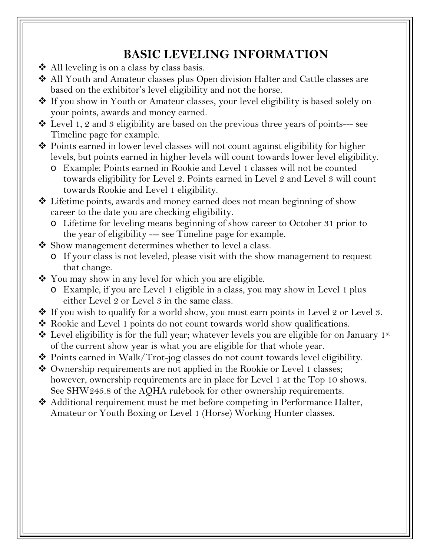### **BASIC LEVELING INFORMATION**

- ◆ All leveling is on a class by class basis.
- ◆ All Youth and Amateur classes plus Open division Halter and Cattle classes are based on the exhibitor's level eligibility and not the horse.
- ◆ If you show in Youth or Amateur classes, your level eligibility is based solely on your points, awards and money earned.
- $\triangle$  Level 1, 2 and 3 eligibility are based on the previous three years of points--- see Timeline page for example.
- Points earned in lower level classes will not count against eligibility for higher levels, but points earned in higher levels will count towards lower level eligibility.
	- o Example: Points earned in Rookie and Level 1 classes will not be counted towards eligibility for Level 2. Points earned in Level 2 and Level 3 will count towards Rookie and Level 1 eligibility.
- ◆ Lifetime points, awards and money earned does not mean beginning of show career to the date you are checking eligibility.
	- o Lifetime for leveling means beginning of show career to October 31 prior to the year of eligibility --- see Timeline page for example.
- $\clubsuit$  Show management determines whether to level a class.
	- o If your class is not leveled, please visit with the show management to request that change.
- ◆ You may show in any level for which you are eligible.
	- o Example, if you are Level 1 eligible in a class, you may show in Level 1 plus either Level 2 or Level 3 in the same class.
- ◆ If you wish to qualify for a world show, you must earn points in Level 2 or Level 3.
- ◆ Rookie and Level 1 points do not count towards world show qualifications.
- $\clubsuit$  Level eligibility is for the full year; whatever levels you are eligible for on January 1st of the current show year is what you are eligible for that whole year.
- ◆ Points earned in Walk/Trot-jog classes do not count towards level eligibility.
- ◆ Ownership requirements are not applied in the Rookie or Level 1 classes; however, ownership requirements are in place for Level 1 at the Top 10 shows. See SHW245.8 of the AQHA rulebook for other ownership requirements.
- ◆ Additional requirement must be met before competing in Performance Halter, Amateur or Youth Boxing or Level 1 (Horse) Working Hunter classes.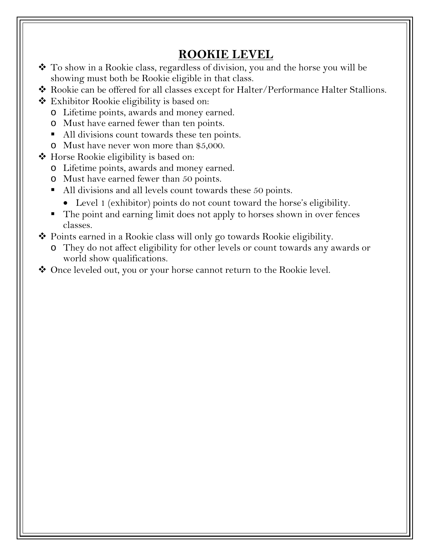#### **ROOKIE LEVEL**

- To show in a Rookie class, regardless of division, you and the horse you will be showing must both be Rookie eligible in that class.
- Rookie can be offered for all classes except for Halter/Performance Halter Stallions.
- $\triangle$  Exhibitor Rookie eligibility is based on:
	- o Lifetime points, awards and money earned.
	- o Must have earned fewer than ten points.
	- All divisions count towards these ten points.
	- o Must have never won more than \$5,000.
- ◆ Horse Rookie eligibility is based on:
	- o Lifetime points, awards and money earned.
	- o Must have earned fewer than 50 points.
	- All divisions and all levels count towards these 50 points.
		- Level 1 (exhibitor) points do not count toward the horse's eligibility.
	- The point and earning limit does not apply to horses shown in over fences classes.
- Points earned in a Rookie class will only go towards Rookie eligibility.
	- o They do not affect eligibility for other levels or count towards any awards or world show qualifications.
- ◆ Once leveled out, you or your horse cannot return to the Rookie level.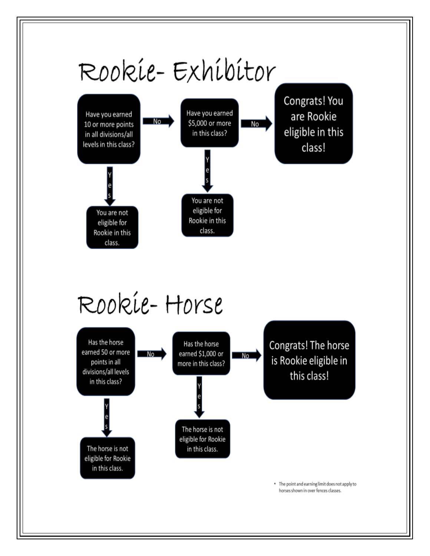

# Rookie-Horse

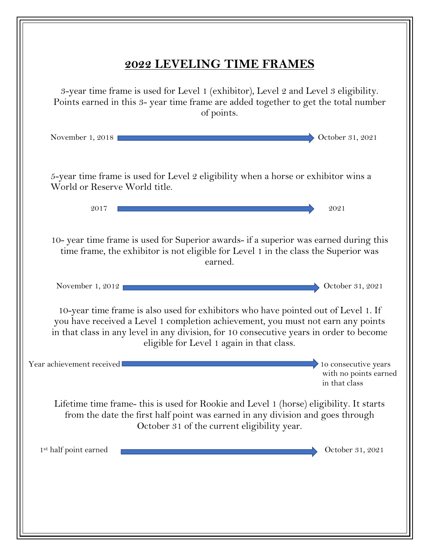| 2022 LEVELING TIME FRAMES                                                                                                                                                                                                                                                                                      |
|----------------------------------------------------------------------------------------------------------------------------------------------------------------------------------------------------------------------------------------------------------------------------------------------------------------|
| 3-year time frame is used for Level 1 (exhibitor), Level 2 and Level 3 eligibility.<br>Points earned in this 3- year time frame are added together to get the total number<br>of points.                                                                                                                       |
| October 31, 2021<br>November 1, 2018                                                                                                                                                                                                                                                                           |
| 5-year time frame is used for Level 2 eligibility when a horse or exhibitor wins a<br>World or Reserve World title.                                                                                                                                                                                            |
| 2017<br>2021                                                                                                                                                                                                                                                                                                   |
| 10- year time frame is used for Superior awards- if a superior was earned during this<br>time frame, the exhibitor is not eligible for Level 1 in the class the Superior was<br>earned.                                                                                                                        |
| November 1, 2012<br>October 31, 2021                                                                                                                                                                                                                                                                           |
| 10-year time frame is also used for exhibitors who have pointed out of Level 1. If<br>you have received a Level 1 completion achievement, you must not earn any points<br>in that class in any level in any division, for 10 consecutive years in order to become<br>eligible for Level 1 again in that class. |
| 10 consecutive years<br>Year achievement received<br>with no points earned<br>in that class                                                                                                                                                                                                                    |
| Lifetime time frame- this is used for Rookie and Level 1 (horse) eligibility. It starts<br>from the date the first half point was earned in any division and goes through<br>October 31 of the current eligibility year.                                                                                       |
| 1 <sup>st</sup> half point earned<br>October 31, 2021                                                                                                                                                                                                                                                          |
|                                                                                                                                                                                                                                                                                                                |
|                                                                                                                                                                                                                                                                                                                |
|                                                                                                                                                                                                                                                                                                                |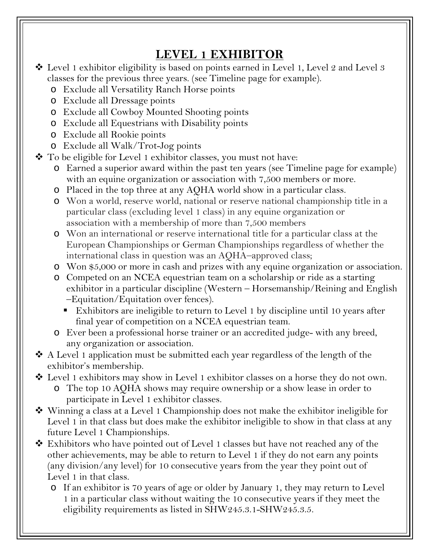### **LEVEL 1 EXHIBITOR**

- Level 1 exhibitor eligibility is based on points earned in Level 1, Level 2 and Level 3 classes for the previous three years. (see Timeline page for example).
	- o Exclude all Versatility Ranch Horse points
	- o Exclude all Dressage points
	- o Exclude all Cowboy Mounted Shooting points
	- o Exclude all Equestrians with Disability points
	- o Exclude all Rookie points
	- o Exclude all Walk/Trot-Jog points
- To be eligible for Level 1 exhibitor classes, you must not have:
	- o Earned a superior award within the past ten years (see Timeline page for example) with an equine organization or association with 7,500 members or more.
	- o Placed in the top three at any AQHA world show in a particular class.
	- o Won a world, reserve world, national or reserve national championship title in a particular class (excluding level 1 class) in any equine organization or association with a membership of more than 7,500 members
	- o Won an international or reserve international title for a particular class at the European Championships or German Championships regardless of whether the international class in question was an AQHA–approved class;
	- o Won \$5,000 or more in cash and prizes with any equine organization or association.
	- o Competed on an NCEA equestrian team on a scholarship or ride as a starting exhibitor in a particular discipline (Western – Horsemanship/Reining and English –Equitation/Equitation over fences).
		- Exhibitors are ineligible to return to Level 1 by discipline until 10 years after final year of competition on a NCEA equestrian team.
	- o Ever been a professional horse trainer or an accredited judge- with any breed, any organization or association.
- $\triangle$  A Level 1 application must be submitted each year regardless of the length of the exhibitor's membership.
- Level 1 exhibitors may show in Level 1 exhibitor classes on a horse they do not own.
	- o The top 10 AQHA shows may require ownership or a show lease in order to participate in Level 1 exhibitor classes.
- ◆ Winning a class at a Level 1 Championship does not make the exhibitor ineligible for Level 1 in that class but does make the exhibitor ineligible to show in that class at any future Level 1 Championships.
- Exhibitors who have pointed out of Level 1 classes but have not reached any of the other achievements, may be able to return to Level 1 if they do not earn any points (any division/any level) for 10 consecutive years from the year they point out of Level 1 in that class.
	- o If an exhibitor is 70 years of age or older by January 1, they may return to Level 1 in a particular class without waiting the 10 consecutive years if they meet the eligibility requirements as listed in SHW245.3.1-SHW245.3.5.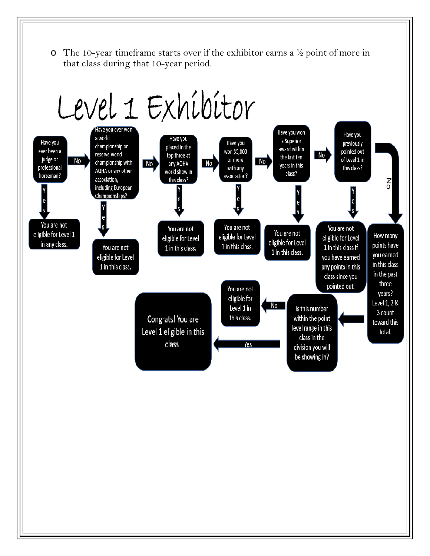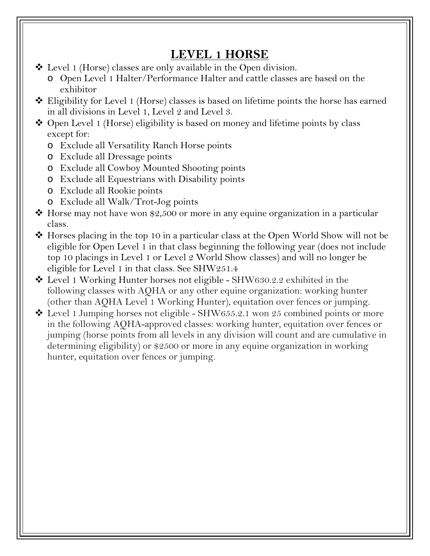#### **LEVEL 1 HORSE**

- Level 1 (Horse) classes are only available in the Open division.
	- o Open Level 1 Halter/Performance Halter and cattle classes are based on the exhibitor
- ◆ Eligibility for Level 1 (Horse) classes is based on lifetime points the horse has earned in all divisions in Level 1, Level 2 and Level 3.
- ◆ Open Level 1 (Horse) eligibility is based on money and lifetime points by class except for:
	- o Exclude all Versatility Ranch Horse points
	- o Exclude all Dressage points
	- o Exclude all Cowboy Mounted Shooting points
	- o Exclude all Equestrians with Disability points
	- o Exclude all Rookie points
	- o Exclude all Walk/Trot-Jog points
- $\cdot$  Horse may not have won \$2,500 or more in any equine organization in a particular class.
- ◆ Horses placing in the top 10 in a particular class at the Open World Show will not be eligible for Open Level 1 in that class beginning the following year (does not include top 10 placings in Level 1 or Level 2 World Show classes) and will no longer be eligible for Level 1 in that class. See SHW251.4
- ◆ Level 1 Working Hunter horses not eligible SHW630.2.2 exhibited in the following classes with AQHA or any other equine organization: working hunter (other than AQHA Level 1 Working Hunter), equitation over fences or jumping.
- $\triangleleft$  Level 1 Jumping horses not eligible SHW655.2.1 won 25 combined points or more in the following AQHA-approved classes: working hunter, equitation over fences or jumping (horse points from all levels in any division will count and are cumulative in determining eligibility) or \$2500 or more in any equine organization in working hunter, equitation over fences or jumping.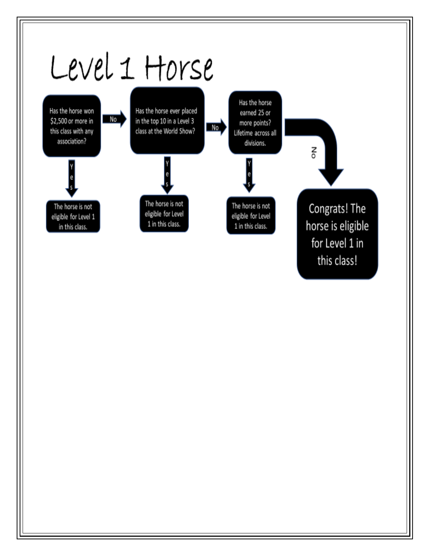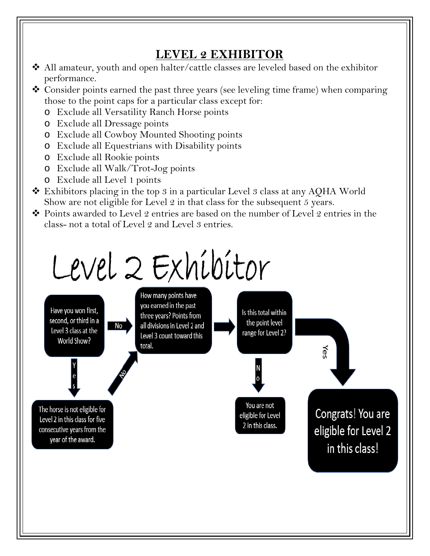# **LEVEL 2 EXHIBITOR**

- All amateur, youth and open halter/cattle classes are leveled based on the exhibitor performance.
- Consider points earned the past three years (see leveling time frame) when comparing those to the point caps for a particular class except for:
	- o Exclude all Versatility Ranch Horse points
	- o Exclude all Dressage points
	- o Exclude all Cowboy Mounted Shooting points
	- o Exclude all Equestrians with Disability points
	- o Exclude all Rookie points
	- o Exclude all Walk/Trot-Jog points
	- o Exclude all Level 1 points
- Exhibitors placing in the top 3 in a particular Level 3 class at any AQHA World Show are not eligible for Level 2 in that class for the subsequent 5 years.
- Points awarded to Level 2 entries are based on the number of Level 2 entries in the class- not a total of Level 2 and Level 3 entries.

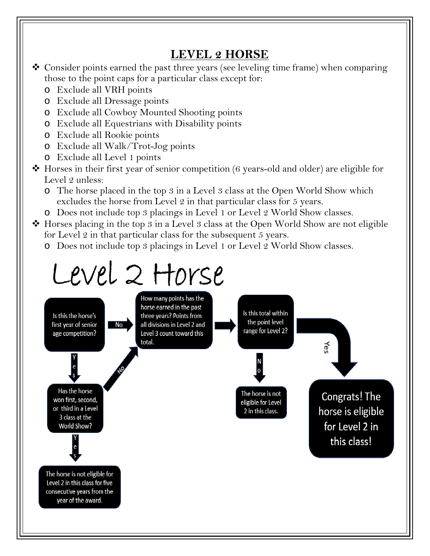#### **LEVEL 2 HORSE**

- Consider points earned the past three years (see leveling time frame) when comparing those to the point caps for a particular class except for:
	- o Exclude all VRH points
	- o Exclude all Dressage points
	- o Exclude all Cowboy Mounted Shooting points
	- o Exclude all Equestrians with Disability points
	- o Exclude all Rookie points
	- o Exclude all Walk/Trot-Jog points
	- o Exclude all Level 1 points
- Horses in their first year of senior competition (6 years-old and older) are eligible for Level 2 unless:
	- o The horse placed in the top 3 in a Level 3 class at the Open World Show which excludes the horse from Level 2 in that particular class for 5 years.
	- o Does not include top 3 placings in Level 1 or Level 2 World Show classes.
- $\triangle$  Horses placing in the top 3 in a Level 3 class at the Open World Show are not eligible for Level 2 in that particular class for the subsequent 5 years.
	- o Does not include top 3 placings in Level 1 or Level 2 World Show classes.